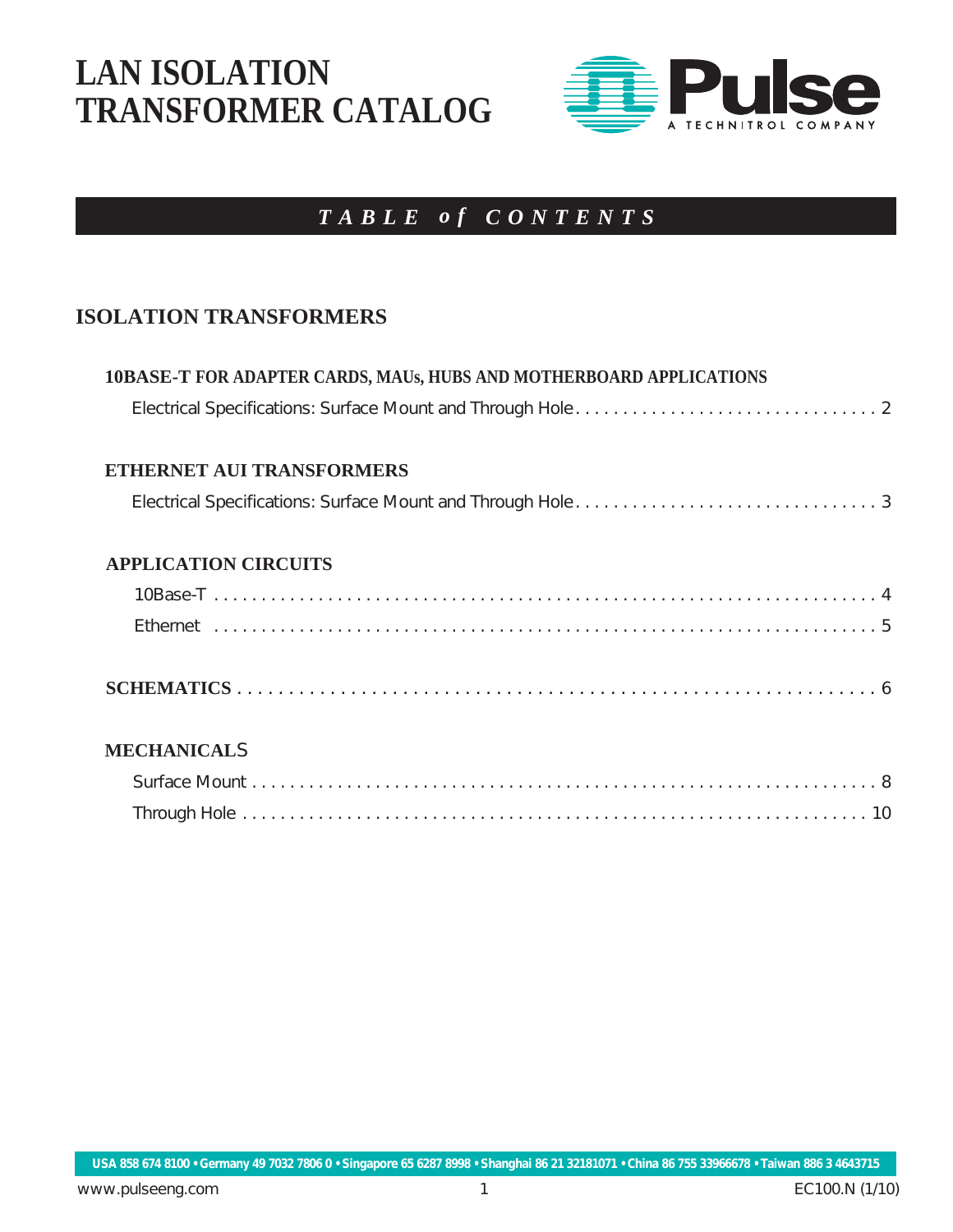### **LAN ISOLATION TRANSFORMER CATALOG**



### *TABLE o f CONTENTS*

#### **ISOLATION TRANSFORMERS**

| <b>10BASE-T FOR ADAPTER CARDS, MAUs, HUBS AND MOTHERBOARD APPLICATIONS</b> |
|----------------------------------------------------------------------------|
|                                                                            |
| <b>ETHERNET AUI TRANSFORMERS</b>                                           |
|                                                                            |
| <b>APPLICATION CIRCUITS</b>                                                |
|                                                                            |
|                                                                            |
|                                                                            |
| <b>MECHANICALS</b>                                                         |
|                                                                            |
|                                                                            |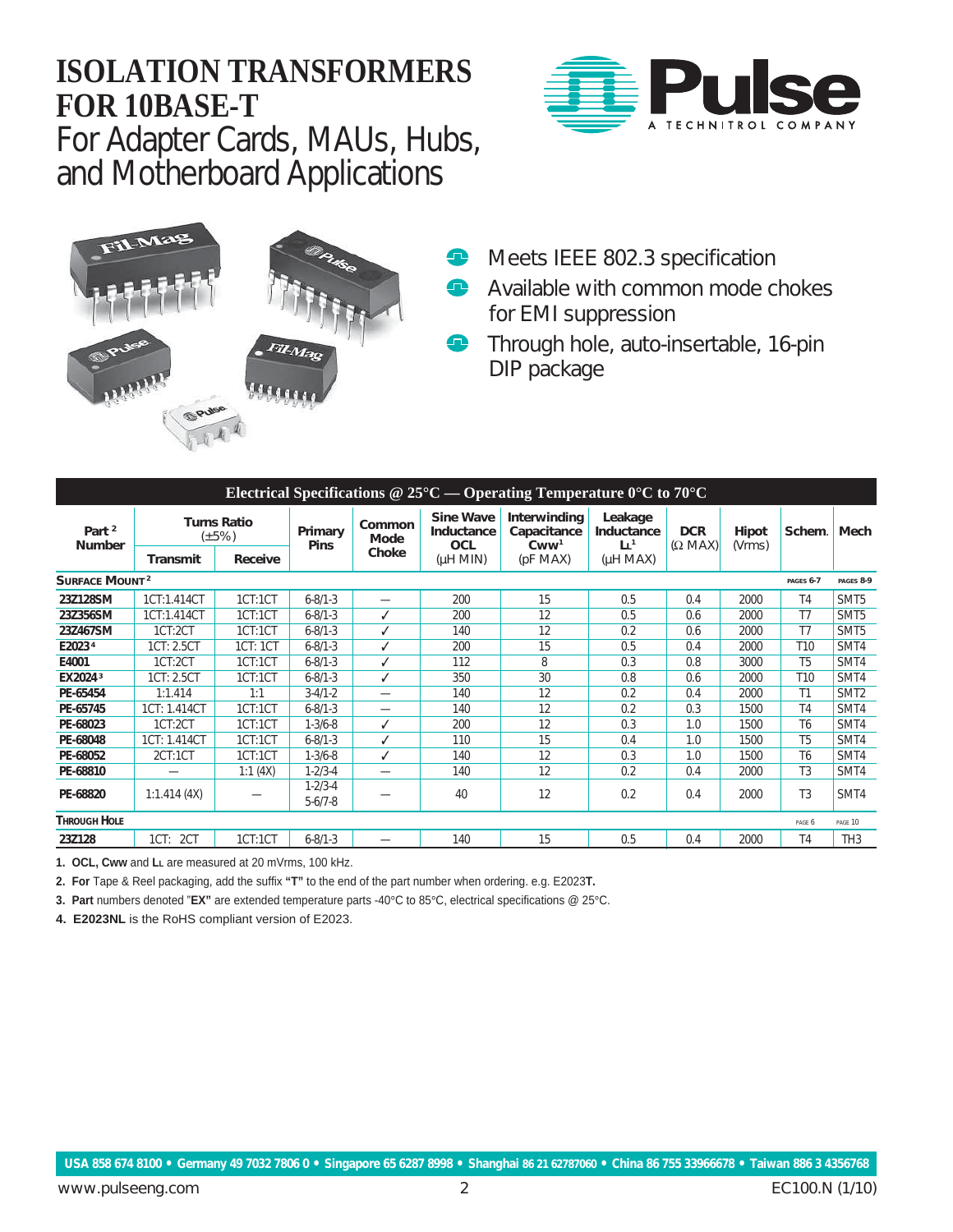### **ISOLATION TRANSFORMERS FOR 10BASE-T**

For Adapter Cards, MAUs, Hubs, and Motherboard Applications





- **Meets IEEE 802.3 specification**
- **Available with common mode chokes** for EMI suppression
- **Through hole, auto-insertable, 16-pin** DIP package

| Electrical Specifications @ $25^{\circ}$ C — Operating Temperature 0°C to 70°C |                                   |          |                                |                |                                       |                                                             |                                         |                              |                 |                 |                  |
|--------------------------------------------------------------------------------|-----------------------------------|----------|--------------------------------|----------------|---------------------------------------|-------------------------------------------------------------|-----------------------------------------|------------------------------|-----------------|-----------------|------------------|
| Part <sup>2</sup><br><b>Number</b>                                             | <b>Turns Ratio</b><br>$(\pm 5\%)$ |          | Primary<br><b>Pins</b>         | Common<br>Mode | <b>Sine Wave</b><br>Inductance<br>OCL | Interwinding<br>Capacitance<br>C <sub>WW</sub> <sup>1</sup> | Leakage<br>Inductance<br>L <sup>1</sup> | <b>DCR</b><br>$(\Omega$ MAX) | Hipot<br>(Vrms) | Schem.          | Mech             |
|                                                                                | Transmit                          | Receive  |                                | Choke          | (HHM)                                 | (pF MAX)                                                    | $(\mu H \text{ MAX})$                   |                              |                 |                 |                  |
| <b>SURFACE MOUNT<sup>2</sup></b>                                               |                                   |          |                                |                |                                       |                                                             |                                         |                              |                 |                 |                  |
| 23Z128SM                                                                       | 1CT:1.414CT                       | 1CT:1CT  | $6 - 8/1 - 3$                  |                | 200                                   | 15                                                          | 0.5                                     | 0.4                          | 2000            | T <sub>4</sub>  | SMT <sub>5</sub> |
| 23Z356SM                                                                       | 1CT:1.414CT                       | 1CT:1CT  | $6 - 8/1 - 3$                  |                | 200                                   | 12                                                          | 0.5                                     | 0.6                          | 2000            | T <sub>7</sub>  | SMT <sub>5</sub> |
| 23Z467SM                                                                       | 1CT:2CT                           | 1CT:1CT  | $6 - 8/1 - 3$                  | ✓              | 140                                   | 12                                                          | 0.2                                     | 0.6                          | 2000            | T7              | SMT <sub>5</sub> |
| E2023 <sup>4</sup>                                                             | 1CT: 2.5CT                        | 1CT: 1CT | $6 - 8/1 - 3$                  | ℐ              | 200                                   | 15                                                          | 0.5                                     | 0.4                          | 2000            | T <sub>10</sub> | SMT4             |
| E4001                                                                          | 1CT:2CT                           | 1CT:1CT  | $6 - 8/1 - 3$                  | ℐ              | 112                                   | 8                                                           | 0.3                                     | 0.8                          | 3000            | T <sub>5</sub>  | SMT4             |
| EX20243                                                                        | 1CT: 2.5CT                        | 1CT:1CT  | $6 - 8/1 - 3$                  | ✓              | 350                                   | 30                                                          | 0.8                                     | 0.6                          | 2000            | T <sub>10</sub> | SMT4             |
| PE-65454                                                                       | 1:1.414                           | 1:1      | $3 - 4/1 - 2$                  | —              | 140                                   | 12                                                          | 0.2                                     | 0.4                          | 2000            | T1              | SMT <sub>2</sub> |
| PE-65745                                                                       | 1CT: 1.414CT                      | 1CT:1CT  | $6 - 8/1 - 3$                  |                | 140                                   | 12                                                          | 0.2                                     | 0.3                          | 1500            | <b>T4</b>       | SMT4             |
| PE-68023                                                                       | 1CT:2CT                           | 1CT:1CT  | $1 - 3/6 - 8$                  |                | 200                                   | 12                                                          | 0.3                                     | 1.0                          | 1500            | T <sub>6</sub>  | SMT4             |
| PE-68048                                                                       | 1CT: 1.414CT                      | 1CT:1CT  | $6 - 8/1 - 3$                  |                | 110                                   | 15                                                          | 0.4                                     | 1.0                          | 1500            | T <sub>5</sub>  | SMT4             |
| PE-68052                                                                       | 2CT:1CT                           | 1CT:1CT  | $1 - 3/6 - 8$                  | ✓              | 140                                   | 12                                                          | 0.3                                     | 1.0                          | 1500            | T <sub>6</sub>  | SMT4             |
| PE-68810                                                                       |                                   | 1:1(4X)  | $1 - 2/3 - 4$                  | —              | 140                                   | 12                                                          | 0.2                                     | 0.4                          | 2000            | T <sub>3</sub>  | SMT4             |
| PE-68820                                                                       | 1:1.414(4X)                       |          | $1 - 2/3 - 4$<br>$5 - 6/7 - 8$ |                | 40                                    | 12                                                          | 0.2                                     | 0.4                          | 2000            | T <sub>3</sub>  | SMT4             |
| <b>THROUGH HOLE</b><br>PAGE 10<br>PAGE 6                                       |                                   |          |                                |                |                                       |                                                             |                                         |                              |                 |                 |                  |
| 23Z128                                                                         | 1CT: 2CT                          | 1CT:1CT  | $6 - 8/1 - 3$                  |                | 140                                   | 15                                                          | 0.5                                     | 0.4                          | 2000            | <b>T4</b>       | TH <sub>3</sub>  |

**1. OCL, Cww** and **LL** are measured at 20 mVrms, 100 kHz.

**2. For** Tape & Reel packaging, add the suffix **"T"** to the end of the part number when ordering. e.g. E2023**T.**

**3. Part** numbers denoted "**EX"** are extended temperature parts -40**°**C to 85**°**C, electrical specifications @ 25**°**C.

**4. E2023NL** is the RoHS compliant version of E2023.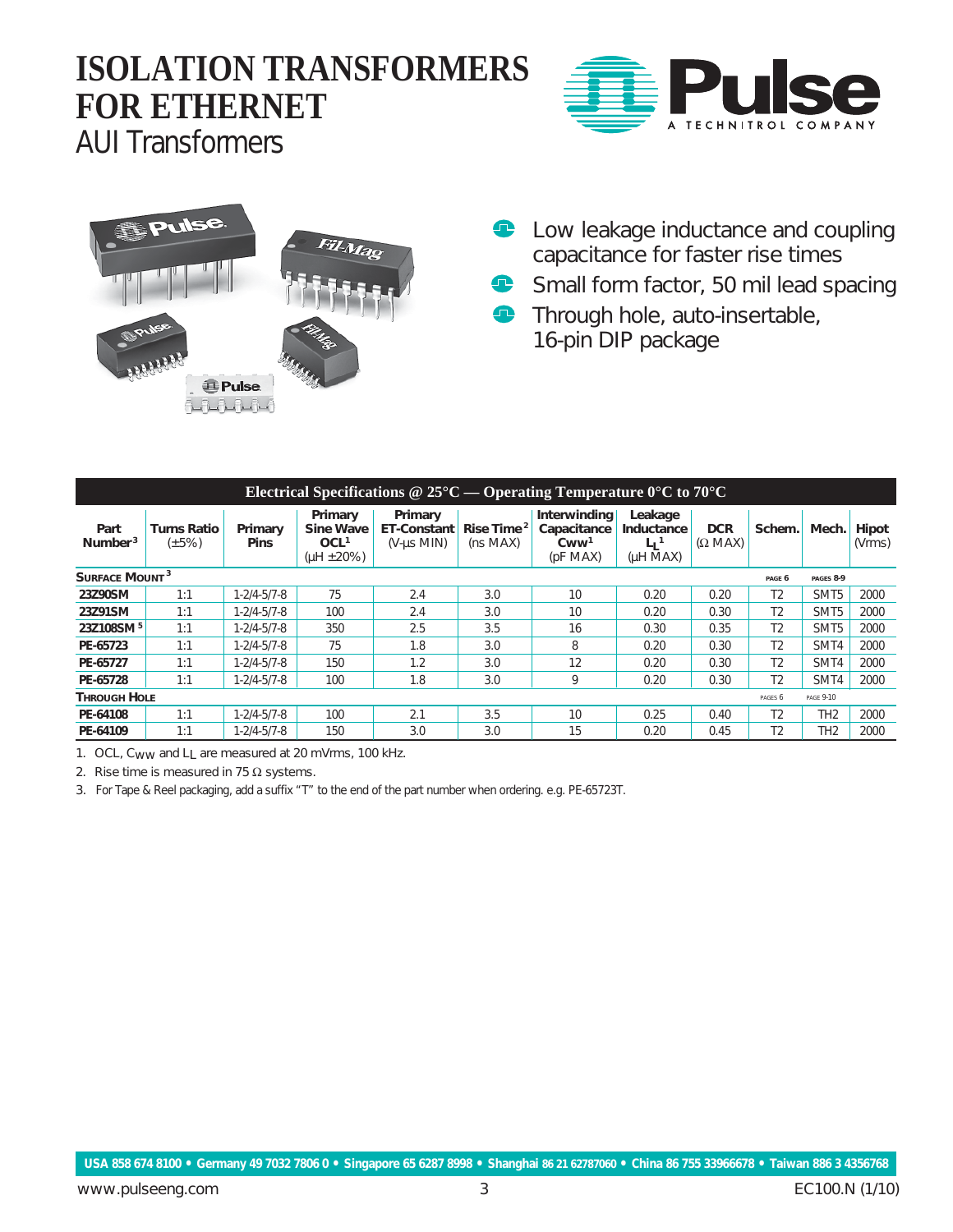# **ISOLATION TRANSFORMERS FOR ETHERNET**



AUI Transformers



- **E** Low leakage inductance and coupling capacitance for faster rise times
- Small form factor, 50 mil lead spacing  $\bullet$
- **Through hole, auto-insertable,** 16-pin DIP package

| Electrical Specifications $@$ 25°C — Operating Temperature $0^{\circ}$ C to 70°C |                                   |                        |                                                              |                                                      |                            |                                                                         |                                                                  |                              |                |                  |                 |
|----------------------------------------------------------------------------------|-----------------------------------|------------------------|--------------------------------------------------------------|------------------------------------------------------|----------------------------|-------------------------------------------------------------------------|------------------------------------------------------------------|------------------------------|----------------|------------------|-----------------|
| Part<br>Number <sup>3</sup>                                                      | <b>Turns Ratio</b><br>$(\pm 5\%)$ | Primary<br><b>Pins</b> | Primary<br>Sine Wave<br>OCL <sup>1</sup><br>( $\mu$ H ± 20%) | Primary<br><b>ET-Constant</b><br>$(V$ - $\mu$ s MIN) | Rise Time $^2$<br>(ns MAX) | Interwinding<br>Capacitance<br>C <sub>WW</sub> <sup>1</sup><br>(pF MAX) | Leakage<br>Inductance<br>$\mathsf{L}_1$ <sup>1</sup><br>(uH MAX) | <b>DCR</b><br>$(\Omega$ MAX) | Schem.         | Mech.            | Hipot<br>(Vrms) |
| SURFACE MOUNT <sup>3</sup><br>PAGES 8-9<br>PAGE 6                                |                                   |                        |                                                              |                                                      |                            |                                                                         |                                                                  |                              |                |                  |                 |
| 23Z90SM                                                                          | 1:1                               | $1 - 2/4 - 5/7 - 8$    | 75                                                           | 2.4                                                  | 3.0                        | 10                                                                      | 0.20                                                             | 0.20                         | T <sub>2</sub> | SMT <sub>5</sub> | 2000            |
| 23Z91SM                                                                          | 1:1                               | $1 - 2/4 - 5/7 - 8$    | 100                                                          | 2.4                                                  | 3.0                        | 10                                                                      | 0.20                                                             | 0.30                         | T <sub>2</sub> | SMT <sub>5</sub> | 2000            |
| 23Z108SM <sup>5</sup>                                                            | 1:1                               | $1 - 2/4 - 5/7 - 8$    | 350                                                          | 2.5                                                  | 3.5                        | 16                                                                      | 0.30                                                             | 0.35                         | T <sub>2</sub> | SMT <sub>5</sub> | 2000            |
| PE-65723                                                                         | 1:1                               | 1-2/4-5/7-8            | 75                                                           | 1.8                                                  | 3.0                        | 8                                                                       | 0.20                                                             | 0.30                         | T <sub>2</sub> | SMT4             | 2000            |
| PE-65727                                                                         | 1:1                               | $1 - 2/4 - 5/7 - 8$    | 150                                                          | 1.2                                                  | 3.0                        | 12                                                                      | 0.20                                                             | 0.30                         | T <sub>2</sub> | SMT4             | 2000            |
| PE-65728                                                                         | 1:1                               | 1-2/4-5/7-8            | 100                                                          | 1.8                                                  | 3.0                        | 9                                                                       | 0.20                                                             | 0.30                         | T <sub>2</sub> | SMT4             | 2000            |
| <b>THROUGH HOLE</b><br><b>PAGE 9-10</b><br>PAGES <sub>6</sub>                    |                                   |                        |                                                              |                                                      |                            |                                                                         |                                                                  |                              |                |                  |                 |
| PE-64108                                                                         | 1:1                               | $1 - 2/4 - 5/7 - 8$    | 100                                                          | 2.1                                                  | 3.5                        | 10                                                                      | 0.25                                                             | 0.40                         | T <sub>2</sub> | TH <sub>2</sub>  | 2000            |
| PE-64109                                                                         | 1:1                               | 1-2/4-5/7-8            | 150                                                          | 3.0                                                  | 3.0                        | 15                                                                      | 0.20                                                             | 0.45                         | T <sub>2</sub> | TH <sub>2</sub>  | 2000            |

1. OCL, Cww and LL are measured at 20 mVrms, 100 kHz.

2. Rise time is measured in 75  $\Omega$  systems.

3. For Tape & Reel packaging, add a suffix "T" to the end of the part number when ordering. e.g. PE-65723T.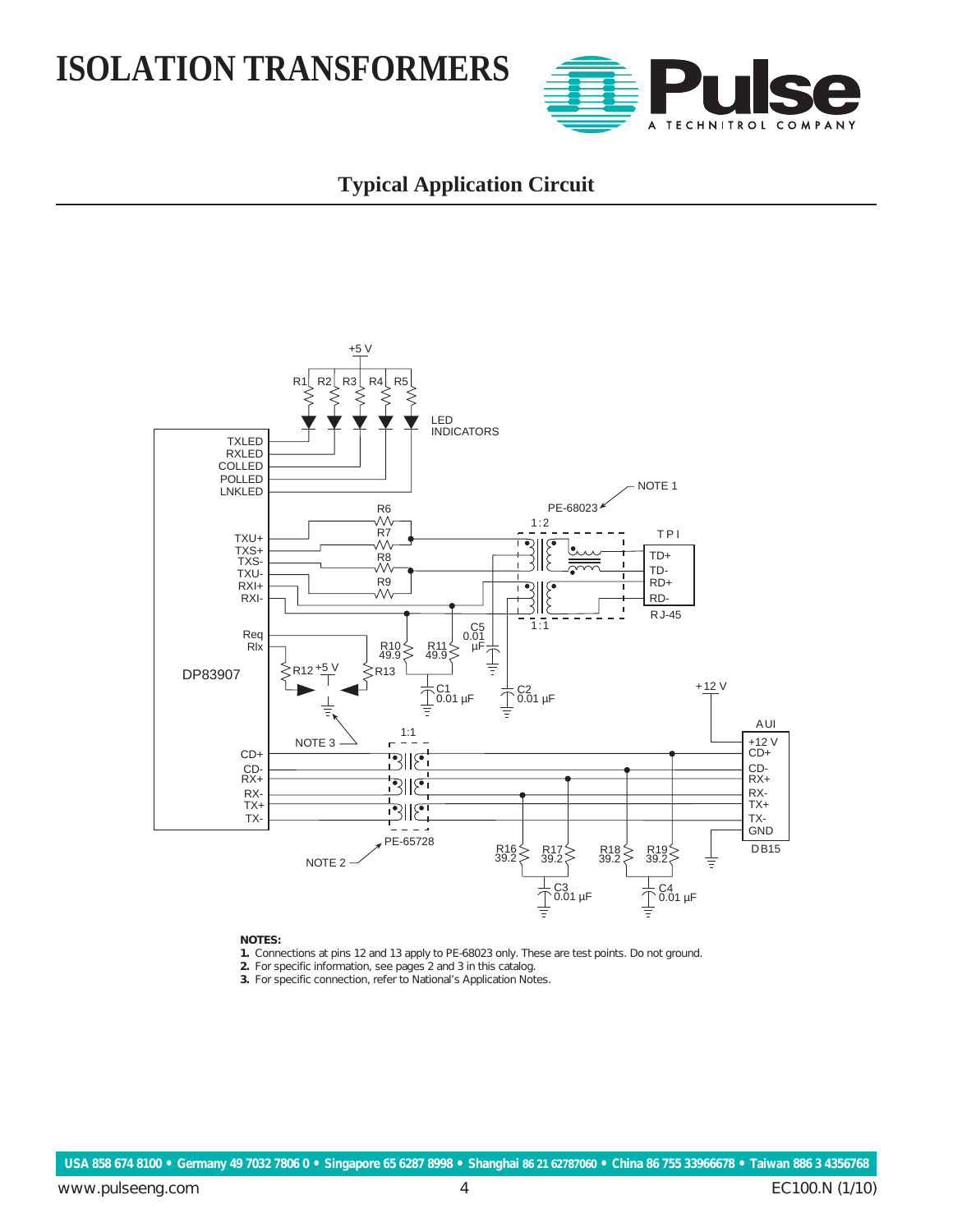

### **Typical Application Circuit**



#### **NOTES:**

- **1.** Connections at pins 12 and 13 apply to PE-68023 only. These are test points. Do not ground.
- **2.** For specific information, see pages 2 and 3 in this catalog.
- **3.** For specific connection, refer to National's Application Notes.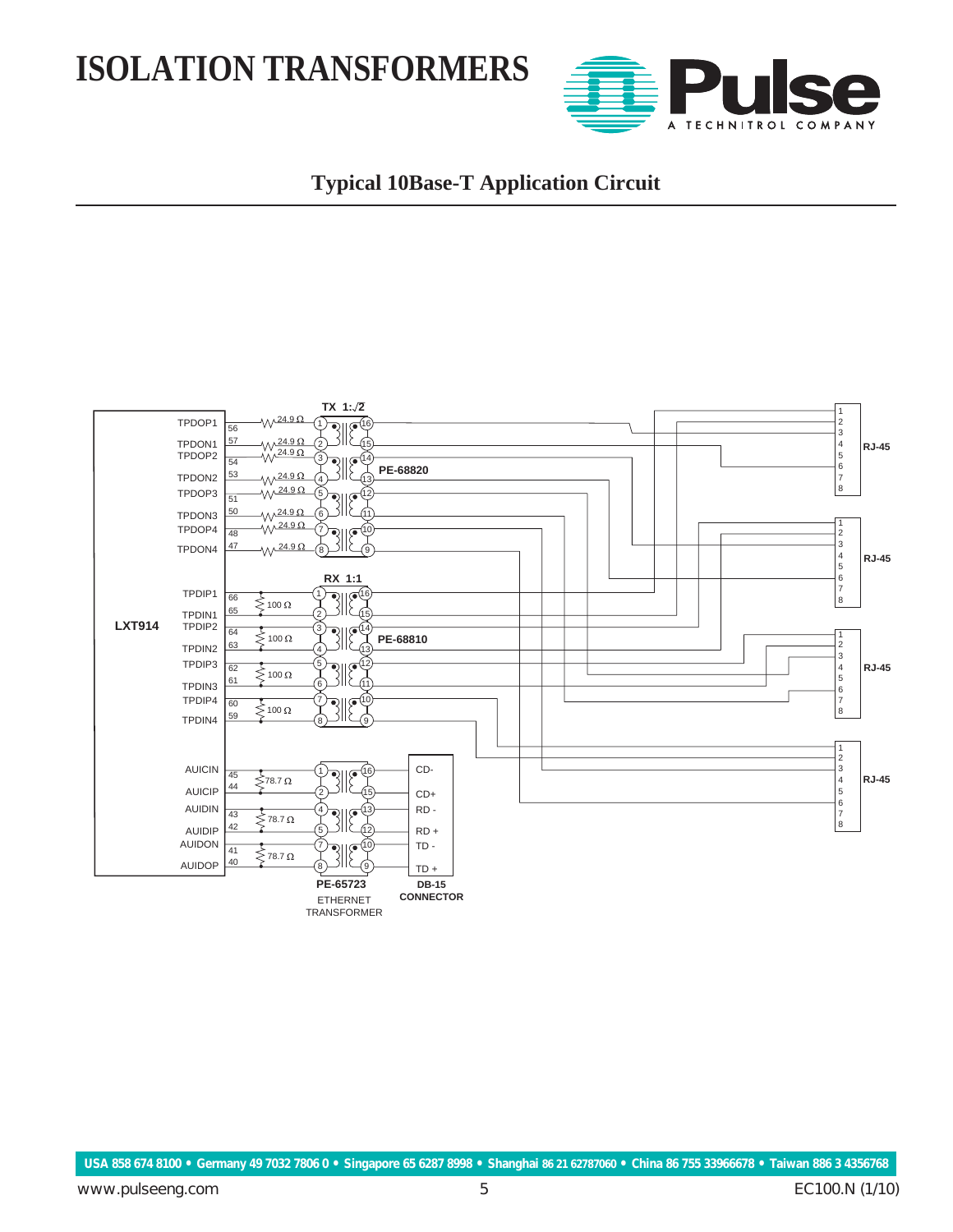

### **Typical 10Base-T Application Circuit**

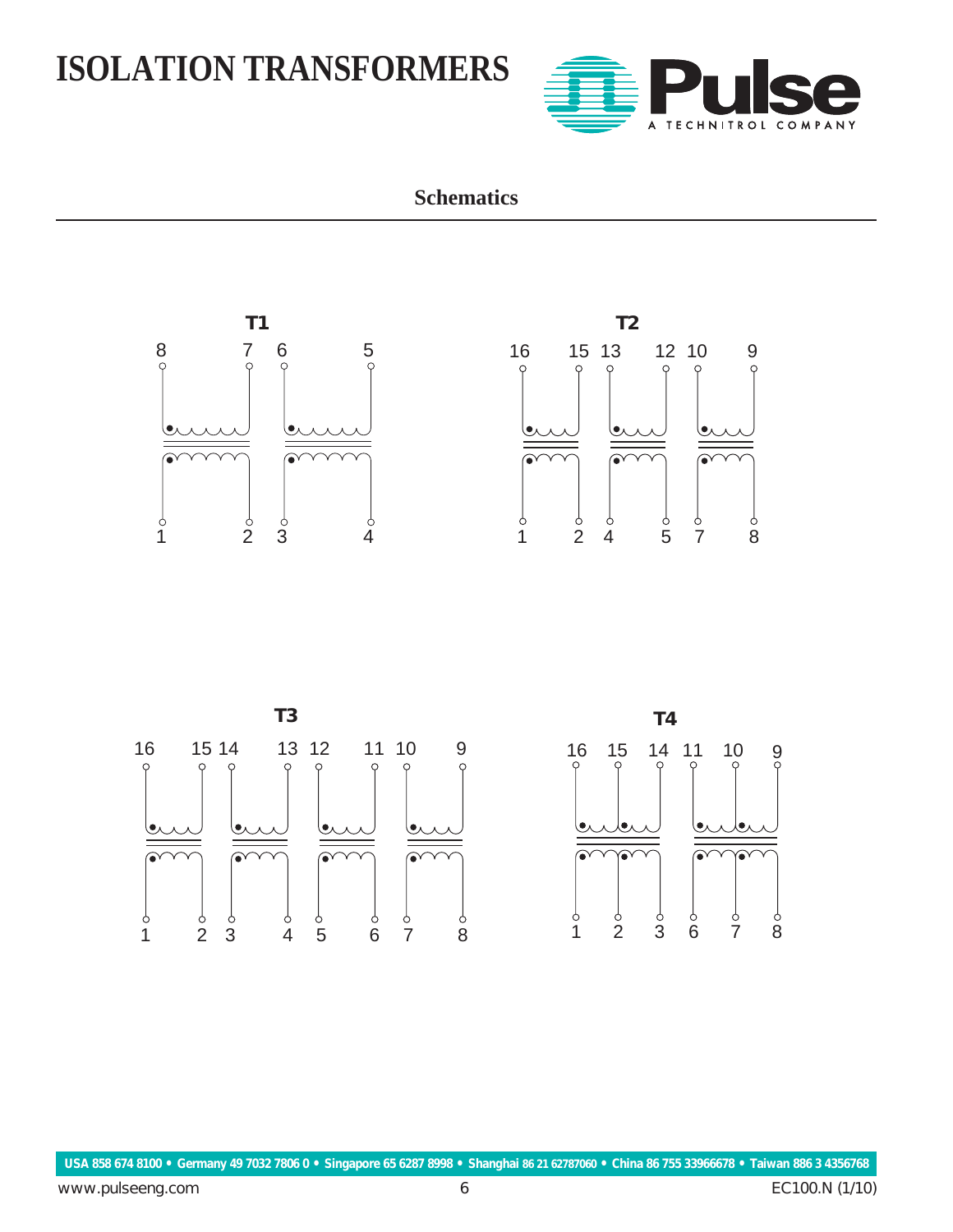

### **Schematics**

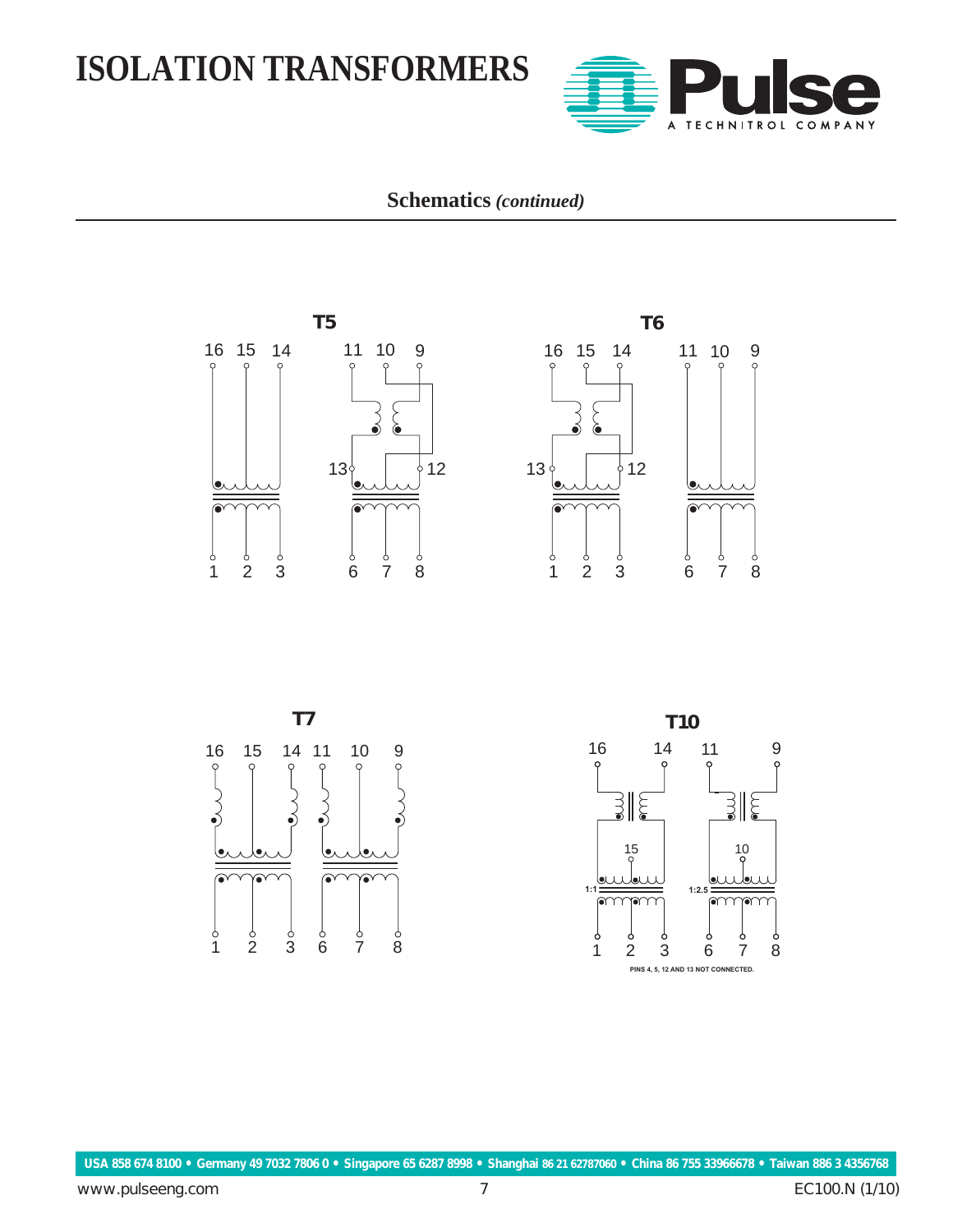

**Schematics** *(continued)*



 $\begin{matrix} 6 & 6 & 6 \\ 6 & 7 & 8 \end{matrix}$ 





 $\begin{matrix}0 & 0 & 0 \\ 1 & 2 & 3\end{matrix}$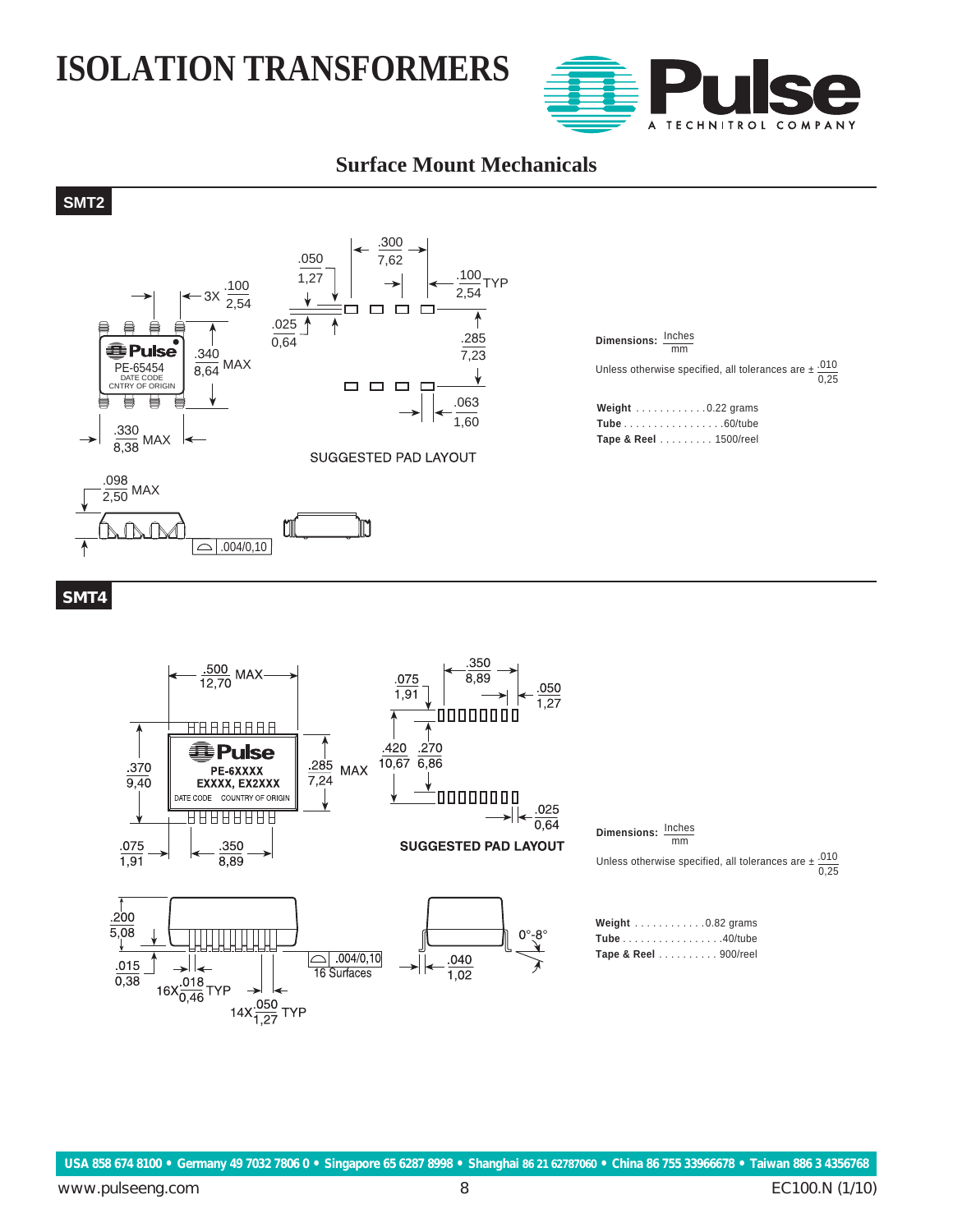

#### **Surface Mount Mechanicals**

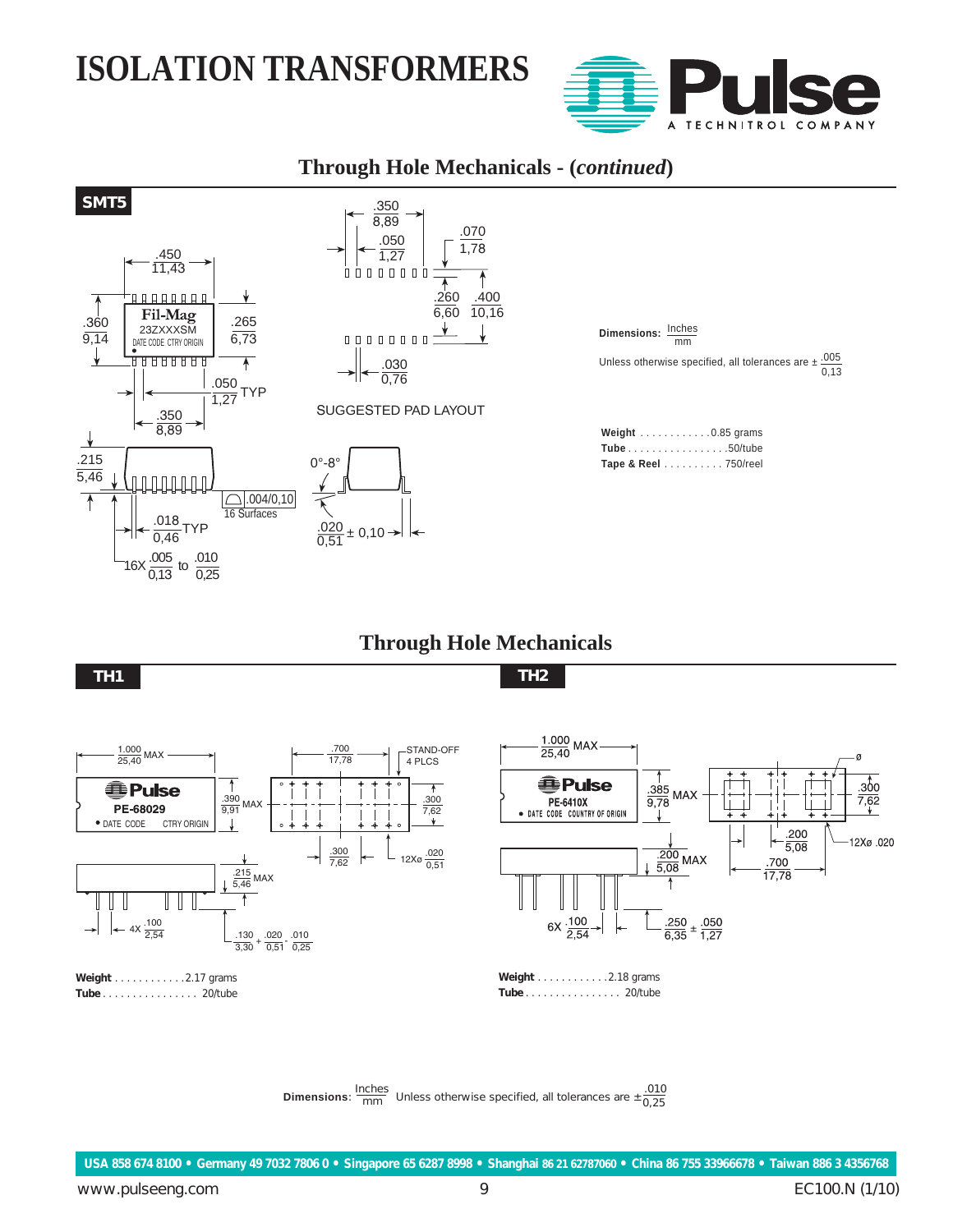

MAY

#### **Through Hole Mechanicals - (***continued***)**



#### **Through Hole Mechanicals**





**Dimensions**: **Dimensions**:  $\frac{\text{Inches}}{\text{mm}}$  Unless otherwise specified, all tolerances are  $\pm \frac{.010}{0.25}$  зо̂о

 $7,62$ 

12Xø.020

.200

 $\frac{100}{5,08}$ 

 $\frac{.700}{17,78}$